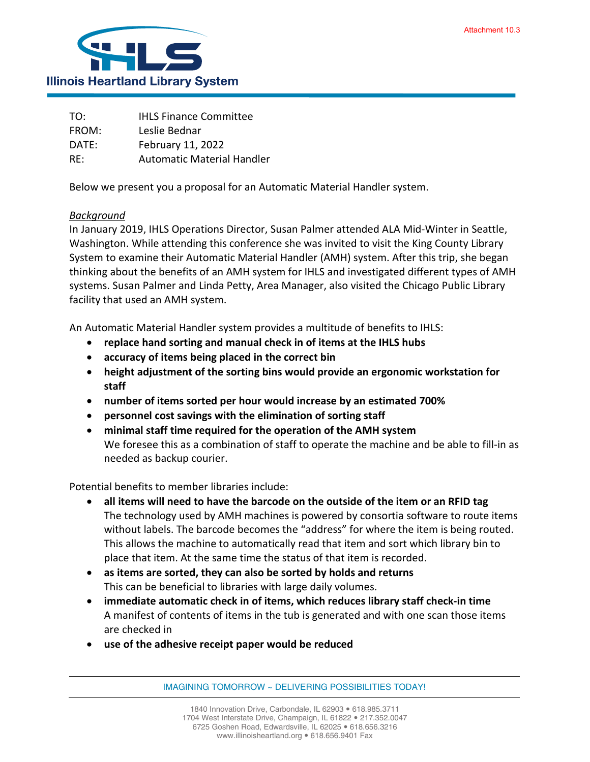

| TO:   | <b>IHLS Finance Committee</b>     |
|-------|-----------------------------------|
| FROM: | Leslie Bednar                     |
| DATE: | February 11, 2022                 |
| RE:   | <b>Automatic Material Handler</b> |

Below we present you a proposal for an Automatic Material Handler system.

## *Background*

In January 2019, IHLS Operations Director, Susan Palmer attended ALA Mid-Winter in Seattle, Washington. While attending this conference she was invited to visit the King County Library System to examine their Automatic Material Handler (AMH) system. After this trip, she began thinking about the benefits of an AMH system for IHLS and investigated different types of AMH systems. Susan Palmer and Linda Petty, Area Manager, also visited the Chicago Public Library facility that used an AMH system.

An Automatic Material Handler system provides a multitude of benefits to IHLS:

- **replace hand sorting and manual check in of items at the IHLS hubs**
- **accuracy of items being placed in the correct bin**
- **height adjustment of the sorting bins would provide an ergonomic workstation for staff**
- **number of items sorted per hour would increase by an estimated 700%**
- **personnel cost savings with the elimination of sorting staff**
- **minimal staff time required for the operation of the AMH system** We foresee this as a combination of staff to operate the machine and be able to fill-in as needed as backup courier.

Potential benefits to member libraries include:

- **all items will need to have the barcode on the outside of the item or an RFID tag** The technology used by AMH machines is powered by consortia software to route items without labels. The barcode becomes the "address" for where the item is being routed. This allows the machine to automatically read that item and sort which library bin to place that item. At the same time the status of that item is recorded.
- **as items are sorted, they can also be sorted by holds and returns** This can be beneficial to libraries with large daily volumes.
- **immediate automatic check in of items, which reduces library staff check-in time** A manifest of contents of items in the tub is generated and with one scan those items are checked in
- **use of the adhesive receipt paper would be reduced**